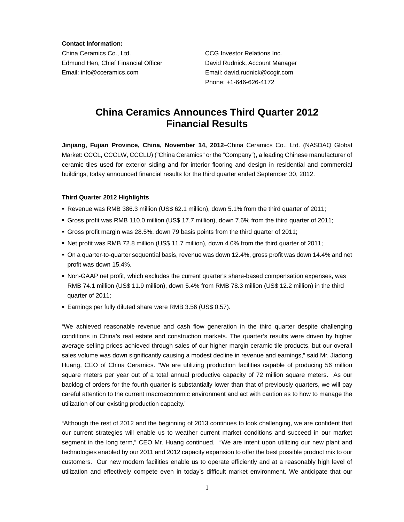**Contact Information:** 

China Ceramics Co., Ltd. CCG Investor Relations Inc. Edmund Hen, Chief Financial Officer David Rudnick, Account Manager Email: info@cceramics.com Email: david.rudnick@ccgir.com

Phone: +1-646-626-4172

## **China Ceramics Announces Third Quarter 2012 Financial Results**

**Jinjiang, Fujian Province, China, November 14, 2012**–China Ceramics Co., Ltd. (NASDAQ Global Market: CCCL, CCCLW, CCCLU) ("China Ceramics" or the "Company"), a leading Chinese manufacturer of ceramic tiles used for exterior siding and for interior flooring and design in residential and commercial buildings, today announced financial results for the third quarter ended September 30, 2012.

#### **Third Quarter 2012 Highlights**

- Revenue was RMB 386.3 million (US\$ 62.1 million), down 5.1% from the third quarter of 2011;
- Gross profit was RMB 110.0 million (US\$ 17.7 million), down 7.6% from the third quarter of 2011;
- Gross profit margin was 28.5%, down 79 basis points from the third quarter of 2011;
- Net profit was RMB 72.8 million (US\$ 11.7 million), down 4.0% from the third quarter of 2011;
- On a quarter-to-quarter sequential basis, revenue was down 12.4%, gross profit was down 14.4% and net profit was down 15.4%.
- Non-GAAP net profit, which excludes the current quarter's share-based compensation expenses, was RMB 74.1 million (US\$ 11.9 million), down 5.4% from RMB 78.3 million (US\$ 12.2 million) in the third quarter of 2011;
- Earnings per fully diluted share were RMB 3.56 (US\$ 0.57).

"We achieved reasonable revenue and cash flow generation in the third quarter despite challenging conditions in China's real estate and construction markets. The quarter's results were driven by higher average selling prices achieved through sales of our higher margin ceramic tile products, but our overall sales volume was down significantly causing a modest decline in revenue and earnings," said Mr. Jiadong Huang, CEO of China Ceramics. "We are utilizing production facilities capable of producing 56 million square meters per year out of a total annual productive capacity of 72 million square meters. As our backlog of orders for the fourth quarter is substantially lower than that of previously quarters, we will pay careful attention to the current macroeconomic environment and act with caution as to how to manage the utilization of our existing production capacity."

"Although the rest of 2012 and the beginning of 2013 continues to look challenging, we are confident that our current strategies will enable us to weather current market conditions and succeed in our market segment in the long term," CEO Mr. Huang continued. "We are intent upon utilizing our new plant and technologies enabled by our 2011 and 2012 capacity expansion to offer the best possible product mix to our customers. Our new modern facilities enable us to operate efficiently and at a reasonably high level of utilization and effectively compete even in today's difficult market environment. We anticipate that our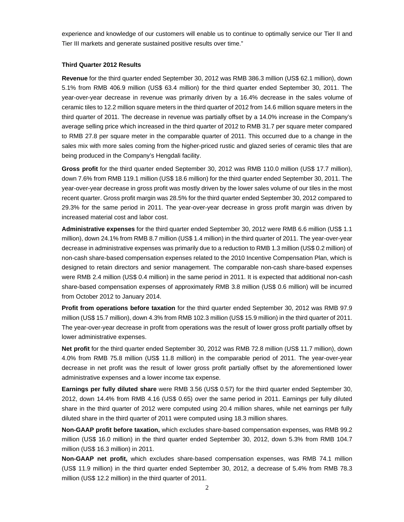experience and knowledge of our customers will enable us to continue to optimally service our Tier II and Tier III markets and generate sustained positive results over time."

#### **Third Quarter 2012 Results**

**Revenue** for the third quarter ended September 30, 2012 was RMB 386.3 million (US\$ 62.1 million), down 5.1% from RMB 406.9 million (US\$ 63.4 million) for the third quarter ended September 30, 2011. The year-over-year decrease in revenue was primarily driven by a 16.4% decrease in the sales volume of ceramic tiles to 12.2 million square meters in the third quarter of 2012 from 14.6 million square meters in the third quarter of 2011. The decrease in revenue was partially offset by a 14.0% increase in the Company's average selling price which increased in the third quarter of 2012 to RMB 31.7 per square meter compared to RMB 27.8 per square meter in the comparable quarter of 2011. This occurred due to a change in the sales mix with more sales coming from the higher-priced rustic and glazed series of ceramic tiles that are being produced in the Company's Hengdali facility.

Gross profit for the third quarter ended September 30, 2012 was RMB 110.0 million (US\$ 17.7 million), down 7.6% from RMB 119.1 million (US\$ 18.6 million) for the third quarter ended September 30, 2011. The year-over-year decrease in gross profit was mostly driven by the lower sales volume of our tiles in the most recent quarter. Gross profit margin was 28.5% for the third quarter ended September 30, 2012 compared to 29.3% for the same period in 2011. The year-over-year decrease in gross profit margin was driven by increased material cost and labor cost.

**Administrative expenses** for the third quarter ended September 30, 2012 were RMB 6.6 million (US\$ 1.1 million), down 24.1% from RMB 8.7 million (US\$ 1.4 million) in the third quarter of 2011. The year-over-year decrease in administrative expenses was primarily due to a reduction to RMB 1.3 million (US\$ 0.2 million) of non-cash share-based compensation expenses related to the 2010 Incentive Compensation Plan, which is designed to retain directors and senior management. The comparable non-cash share-based expenses were RMB 2.4 million (US\$ 0.4 million) in the same period in 2011. It is expected that additional non-cash share-based compensation expenses of approximately RMB 3.8 million (US\$ 0.6 million) will be incurred from October 2012 to January 2014.

**Profit from operations before taxation** for the third quarter ended September 30, 2012 was RMB 97.9 million (US\$ 15.7 million), down 4.3% from RMB 102.3 million (US\$ 15.9 million) in the third quarter of 2011. The year-over-year decrease in profit from operations was the result of lower gross profit partially offset by lower administrative expenses.

**Net profit** for the third quarter ended September 30, 2012 was RMB 72.8 million (US\$ 11.7 million), down 4.0% from RMB 75.8 million (US\$ 11.8 million) in the comparable period of 2011. The year-over-year decrease in net profit was the result of lower gross profit partially offset by the aforementioned lower administrative expenses and a lower income tax expense.

**Earnings per fully diluted share** were RMB 3.56 (US\$ 0.57) for the third quarter ended September 30, 2012, down 14.4% from RMB 4.16 (US\$ 0.65) over the same period in 2011. Earnings per fully diluted share in the third quarter of 2012 were computed using 20.4 million shares, while net earnings per fully diluted share in the third quarter of 2011 were computed using 18.3 million shares.

**Non-GAAP profit before taxation,** which excludes share-based compensation expenses, was RMB 99.2 million (US\$ 16.0 million) in the third quarter ended September 30, 2012, down 5.3% from RMB 104.7 million (US\$ 16.3 million) in 2011.

**Non-GAAP net profit,** which excludes share-based compensation expenses, was RMB 74.1 million (US\$ 11.9 million) in the third quarter ended September 30, 2012, a decrease of 5.4% from RMB 78.3 million (US\$ 12.2 million) in the third quarter of 2011.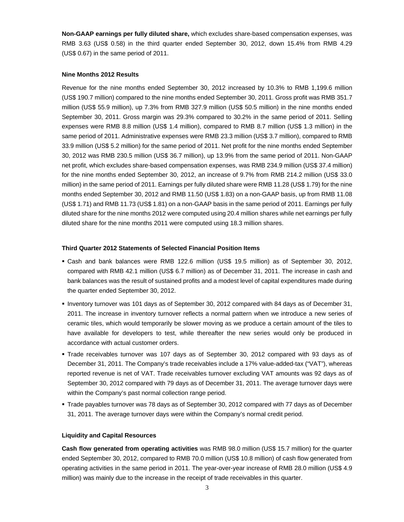**Non-GAAP earnings per fully diluted share,** which excludes share-based compensation expenses, was RMB 3.63 (US\$ 0.58) in the third quarter ended September 30, 2012, down 15.4% from RMB 4.29 (US\$ 0.67) in the same period of 2011.

#### **Nine Months 2012 Results**

Revenue for the nine months ended September 30, 2012 increased by 10.3% to RMB 1,199.6 million (US\$ 190.7 million) compared to the nine months ended September 30, 2011. Gross profit was RMB 351.7 million (US\$ 55.9 million), up 7.3% from RMB 327.9 million (US\$ 50.5 million) in the nine months ended September 30, 2011. Gross margin was 29.3% compared to 30.2% in the same period of 2011. Selling expenses were RMB 8.8 million (US\$ 1.4 million), compared to RMB 8.7 million (US\$ 1.3 million) in the same period of 2011. Administrative expenses were RMB 23.3 million (US\$ 3.7 million), compared to RMB 33.9 million (US\$ 5.2 million) for the same period of 2011. Net profit for the nine months ended September 30, 2012 was RMB 230.5 million (US\$ 36.7 million), up 13.9% from the same period of 2011. Non-GAAP net profit, which excludes share-based compensation expenses, was RMB 234.9 million (US\$ 37.4 million) for the nine months ended September 30, 2012, an increase of 9.7% from RMB 214.2 million (US\$ 33.0 million) in the same period of 2011. Earnings per fully diluted share were RMB 11.28 (US\$ 1.79) for the nine months ended September 30, 2012 and RMB 11.50 (US\$ 1.83) on a non-GAAP basis, up from RMB 11.08 (US\$ 1.71) and RMB 11.73 (US\$ 1.81) on a non-GAAP basis in the same period of 2011. Earnings per fully diluted share for the nine months 2012 were computed using 20.4 million shares while net earnings per fully diluted share for the nine months 2011 were computed using 18.3 million shares.

#### **Third Quarter 2012 Statements of Selected Financial Position Items**

- Cash and bank balances were RMB 122.6 million (US\$ 19.5 million) as of September 30, 2012, compared with RMB 42.1 million (US\$ 6.7 million) as of December 31, 2011. The increase in cash and bank balances was the result of sustained profits and a modest level of capital expenditures made during the quarter ended September 30, 2012.
- Inventory turnover was 101 days as of September 30, 2012 compared with 84 days as of December 31, 2011. The increase in inventory turnover reflects a normal pattern when we introduce a new series of ceramic tiles, which would temporarily be slower moving as we produce a certain amount of the tiles to have available for developers to test, while thereafter the new series would only be produced in accordance with actual customer orders.
- Trade receivables turnover was 107 days as of September 30, 2012 compared with 93 days as of December 31, 2011. The Company's trade receivables include a 17% value-added-tax ("VAT"), whereas reported revenue is net of VAT. Trade receivables turnover excluding VAT amounts was 92 days as of September 30, 2012 compared with 79 days as of December 31, 2011. The average turnover days were within the Company's past normal collection range period.
- Trade payables turnover was 78 days as of September 30, 2012 compared with 77 days as of December 31, 2011. The average turnover days were within the Company's normal credit period.

#### **Liquidity and Capital Resources**

**Cash flow generated from operating activities** was RMB 98.0 million (US\$ 15.7 million) for the quarter ended September 30, 2012, compared to RMB 70.0 million (US\$ 10.8 million) of cash flow generated from operating activities in the same period in 2011. The year-over-year increase of RMB 28.0 million (US\$ 4.9 million) was mainly due to the increase in the receipt of trade receivables in this quarter.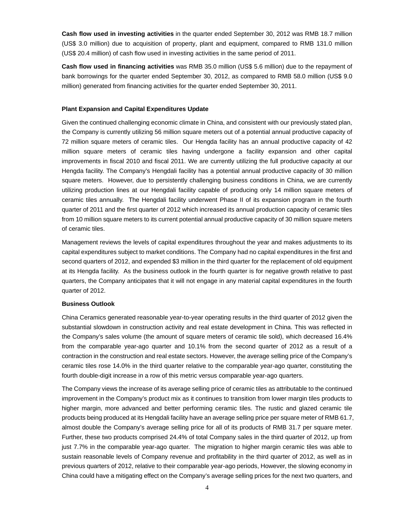**Cash flow used in investing activities** in the quarter ended September 30, 2012 was RMB 18.7 million (US\$ 3.0 million) due to acquisition of property, plant and equipment, compared to RMB 131.0 million (US\$ 20.4 million) of cash flow used in investing activities in the same period of 2011.

**Cash flow used in financing activities** was RMB 35.0 million (US\$ 5.6 million) due to the repayment of bank borrowings for the quarter ended September 30, 2012, as compared to RMB 58.0 million (US\$ 9.0 million) generated from financing activities for the quarter ended September 30, 2011.

#### **Plant Expansion and Capital Expenditures Update**

Given the continued challenging economic climate in China, and consistent with our previously stated plan, the Company is currently utilizing 56 million square meters out of a potential annual productive capacity of 72 million square meters of ceramic tiles. Our Hengda facility has an annual productive capacity of 42 million square meters of ceramic tiles having undergone a facility expansion and other capital improvements in fiscal 2010 and fiscal 2011. We are currently utilizing the full productive capacity at our Hengda facility. The Company's Hengdali facility has a potential annual productive capacity of 30 million square meters. However, due to persistently challenging business conditions in China, we are currently utilizing production lines at our Hengdali facility capable of producing only 14 million square meters of ceramic tiles annually. The Hengdali facility underwent Phase II of its expansion program in the fourth quarter of 2011 and the first quarter of 2012 which increased its annual production capacity of ceramic tiles from 10 million square meters to its current potential annual productive capacity of 30 million square meters of ceramic tiles.

Management reviews the levels of capital expenditures throughout the year and makes adjustments to its capital expenditures subject to market conditions. The Company had no capital expenditures in the first and second quarters of 2012, and expended \$3 million in the third quarter for the replacement of old equipment at its Hengda facility. As the business outlook in the fourth quarter is for negative growth relative to past quarters, the Company anticipates that it will not engage in any material capital expenditures in the fourth quarter of 2012.

#### **Business Outlook**

China Ceramics generated reasonable year-to-year operating results in the third quarter of 2012 given the substantial slowdown in construction activity and real estate development in China. This was reflected in the Company's sales volume (the amount of square meters of ceramic tile sold), which decreased 16.4% from the comparable year-ago quarter and 10.1% from the second quarter of 2012 as a result of a contraction in the construction and real estate sectors. However, the average selling price of the Company's ceramic tiles rose 14.0% in the third quarter relative to the comparable year-ago quarter, constituting the fourth double-digit increase in a row of this metric versus comparable year-ago quarters.

The Company views the increase of its average selling price of ceramic tiles as attributable to the continued improvement in the Company's product mix as it continues to transition from lower margin tiles products to higher margin, more advanced and better performing ceramic tiles. The rustic and glazed ceramic tile products being produced at its Hengdali facility have an average selling price per square meter of RMB 61.7, almost double the Company's average selling price for all of its products of RMB 31.7 per square meter. Further, these two products comprised 24.4% of total Company sales in the third quarter of 2012, up from just 7.7% in the comparable year-ago quarter. The migration to higher margin ceramic tiles was able to sustain reasonable levels of Company revenue and profitability in the third quarter of 2012, as well as in previous quarters of 2012, relative to their comparable year-ago periods, However, the slowing economy in China could have a mitigating effect on the Company's average selling prices for the next two quarters, and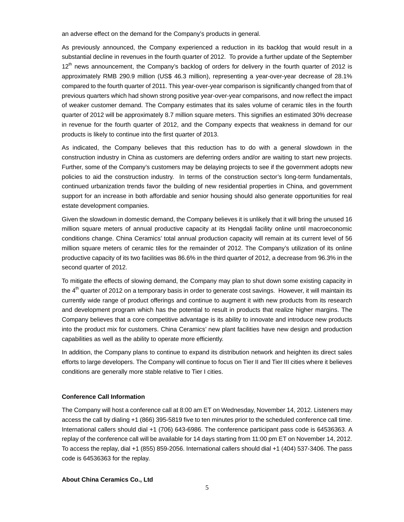an adverse effect on the demand for the Company's products in general.

As previously announced, the Company experienced a reduction in its backlog that would result in a substantial decline in revenues in the fourth quarter of 2012. To provide a further update of the September  $12<sup>th</sup>$  news announcement, the Company's backlog of orders for delivery in the fourth quarter of 2012 is approximately RMB 290.9 million (US\$ 46.3 million), representing a year-over-year decrease of 28.1% compared to the fourth quarter of 2011. This year-over-year comparison is significantly changed from that of previous quarters which had shown strong positive year-over-year comparisons, and now reflect the impact of weaker customer demand. The Company estimates that its sales volume of ceramic tiles in the fourth quarter of 2012 will be approximately 8.7 million square meters. This signifies an estimated 30% decrease in revenue for the fourth quarter of 2012, and the Company expects that weakness in demand for our products is likely to continue into the first quarter of 2013.

As indicated, the Company believes that this reduction has to do with a general slowdown in the construction industry in China as customers are deferring orders and/or are waiting to start new projects. Further, some of the Company's customers may be delaying projects to see if the government adopts new policies to aid the construction industry. In terms of the construction sector's long-term fundamentals, continued urbanization trends favor the building of new residential properties in China, and government support for an increase in both affordable and senior housing should also generate opportunities for real estate development companies.

Given the slowdown in domestic demand, the Company believes it is unlikely that it will bring the unused 16 million square meters of annual productive capacity at its Hengdali facility online until macroeconomic conditions change. China Ceramics' total annual production capacity will remain at its current level of 56 million square meters of ceramic tiles for the remainder of 2012. The Company's utilization of its online productive capacity of its two facilities was 86.6% in the third quarter of 2012, a decrease from 96.3% in the second quarter of 2012.

To mitigate the effects of slowing demand, the Company may plan to shut down some existing capacity in the  $4<sup>th</sup>$  quarter of 2012 on a temporary basis in order to generate cost savings. However, it will maintain its currently wide range of product offerings and continue to augment it with new products from its research and development program which has the potential to result in products that realize higher margins. The Company believes that a core competitive advantage is its ability to innovate and introduce new products into the product mix for customers. China Ceramics' new plant facilities have new design and production capabilities as well as the ability to operate more efficiently.

In addition, the Company plans to continue to expand its distribution network and heighten its direct sales efforts to large developers. The Company will continue to focus on Tier II and Tier III cities where it believes conditions are generally more stable relative to Tier I cities.

### **Conference Call Information**

The Company will host a conference call at 8:00 am ET on Wednesday, November 14, 2012. Listeners may access the call by dialing +1 (866) 395-5819 five to ten minutes prior to the scheduled conference call time. International callers should dial +1 (706) 643-6986. The conference participant pass code is 64536363. A replay of the conference call will be available for 14 days starting from 11:00 pm ET on November 14, 2012. To access the replay, dial +1 (855) 859-2056. International callers should dial +1 (404) 537-3406. The pass code is 64536363 for the replay.

#### **About China Ceramics Co., Ltd**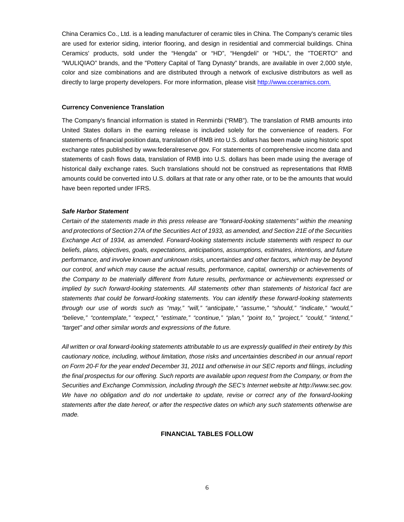China Ceramics Co., Ltd. is a leading manufacturer of ceramic tiles in China. The Company's ceramic tiles are used for exterior siding, interior flooring, and design in residential and commercial buildings. China Ceramics' products, sold under the "Hengda" or "HD", "Hengdeli" or "HDL", the "TOERTO" and "WULIQIAO" brands, and the "Pottery Capital of Tang Dynasty" brands, are available in over 2,000 style, color and size combinations and are distributed through a network of exclusive distributors as well as directly to large property developers. For more information, please visit http://www.cceramics.com.

#### **Currency Convenience Translation**

The Company's financial information is stated in Renminbi ("RMB"). The translation of RMB amounts into United States dollars in the earning release is included solely for the convenience of readers. For statements of financial position data, translation of RMB into U.S. dollars has been made using historic spot exchange rates published by www.federalreserve.gov. For statements of comprehensive income data and statements of cash flows data, translation of RMB into U.S. dollars has been made using the average of historical daily exchange rates. Such translations should not be construed as representations that RMB amounts could be converted into U.S. dollars at that rate or any other rate, or to be the amounts that would have been reported under IFRS.

#### *Safe Harbor Statement*

*Certain of the statements made in this press release are "forward-looking statements" within the meaning and protections of Section 27A of the Securities Act of 1933, as amended, and Section 21E of the Securities Exchange Act of 1934, as amended. Forward-looking statements include statements with respect to our beliefs, plans, objectives, goals, expectations, anticipations, assumptions, estimates, intentions, and future performance, and involve known and unknown risks, uncertainties and other factors, which may be beyond our control, and which may cause the actual results, performance, capital, ownership or achievements of the Company to be materially different from future results, performance or achievements expressed or implied by such forward-looking statements. All statements other than statements of historical fact are statements that could be forward-looking statements. You can identify these forward-looking statements through our use of words such as "may," "will," "anticipate," "assume," "should," "indicate," "would," "believe," "contemplate," "expect," "estimate," "continue," "plan," "point to," "project," "could," "intend," "target" and other similar words and expressions of the future.* 

*All written or oral forward-looking statements attributable to us are expressly qualified in their entirety by this cautionary notice, including, without limitation, those risks and uncertainties described in our annual report on Form 20-F for the year ended December 31, 2011 and otherwise in our SEC reports and filings, including the final prospectus for our offering. Such reports are available upon request from the Company, or from the Securities and Exchange Commission, including through the SEC's Internet website at http://www.sec.gov.*  We have no obligation and do not undertake to update, revise or correct any of the forward-looking *statements after the date hereof, or after the respective dates on which any such statements otherwise are made.* 

#### **FINANCIAL TABLES FOLLOW**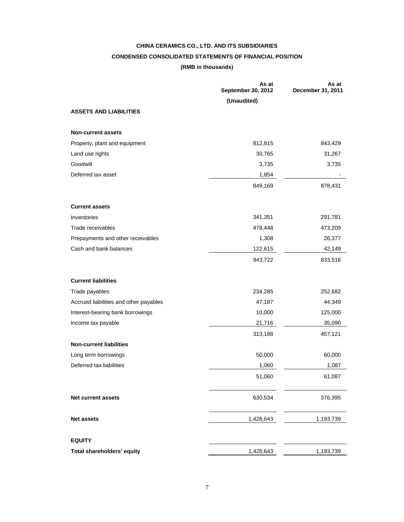# **CHINA CERAMICS CO., LTD. AND ITS SUBSIDIARIES CONDENSED CONSOLIDATED STATEMENTS OF FINANCIAL POSITION**

## **(RMB in thousands)**

|                                        | As at<br><b>September 30, 2012</b> | As at<br>December 31, 2011 |
|----------------------------------------|------------------------------------|----------------------------|
|                                        | (Unaudited)                        |                            |
| <b>ASSETS AND LIABILITIES</b>          |                                    |                            |
| <b>Non-current assets</b>              |                                    |                            |
| Property, plant and equipment          | 812,815                            | 843,429                    |
| Land use rights                        | 30,765                             | 31,267                     |
| Goodwill                               | 3,735                              | 3,735                      |
| Deferred tax asset                     | 1,854                              |                            |
|                                        | 849,169                            | 878,431                    |
| <b>Current assets</b>                  |                                    |                            |
| Inventories                            | 341,351                            | 291,781                    |
| Trade receivables                      | 478,448                            | 473,209                    |
| Prepayments and other receivables      | 1,308                              | 26,377                     |
| Cash and bank balances                 | 122,615                            | 42,149                     |
|                                        | 943,722                            | 833,516                    |
| <b>Current liabilities</b>             |                                    |                            |
| Trade payables                         | 234,285                            | 252,682                    |
| Accrued liabilities and other payables | 47,187                             | 44,349                     |
| Interest-bearing bank borrowings       | 10,000                             | 125,000                    |
| Income tax payable                     | 21,716                             | 35,090                     |
|                                        | 313,188                            | 457,121                    |
| <b>Non-current liabilities</b>         |                                    |                            |
| Long term borrowings                   | 50,000                             | 60,000                     |
| Deferred tax liabilities               | 1,060                              | 1,087                      |
|                                        | 51,060                             | 61,087                     |
| <b>Net current assets</b>              | 630,534                            | 376,395                    |
| Net assets                             | 1,428,643                          | 1,193,739                  |
| <b>EQUITY</b>                          |                                    |                            |
| Total shareholders' equity             | 1,428,643                          | 1,193,739                  |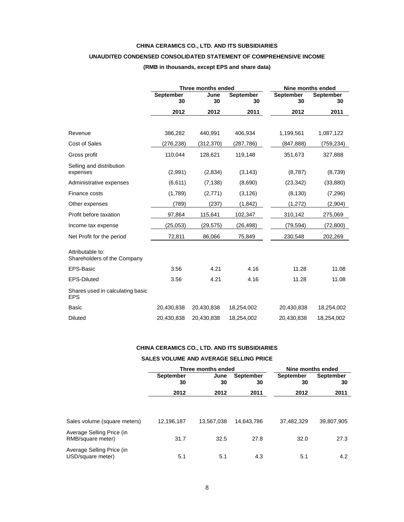#### **CHINA CERAMICS CO., LTD. AND ITS SUBSIDIARIES**

## **UNAUDITED CONDENSED CONSOLIDATED STATEMENT OF COMPREHENSIVE INCOME**

#### **(RMB in thousands, except EPS and share data)**

|                                                 |                        | Three months ended | <b>Nine months ended</b> |                 |                        |
|-------------------------------------------------|------------------------|--------------------|--------------------------|-----------------|------------------------|
|                                                 | <b>September</b><br>30 | June<br>30         | <b>September</b><br>30   | September<br>30 | <b>September</b><br>30 |
|                                                 | 2012                   | 2012               | 2011                     | 2012            | 2011                   |
|                                                 |                        |                    |                          |                 |                        |
| Revenue                                         | 386,282                | 440,991            | 406,934                  | 1,199,561       | 1,087,122              |
| Cost of Sales                                   | (276,238)              | (312, 370)         | (287,786)                | (847, 888)      | (759,234)              |
| Gross profit                                    | 110,044                | 128,621            | 119,148                  | 351,673         | 327,888                |
| Selling and distribution<br>expenses            | (2,991)                | (2,834)            | (3, 143)                 | (8,787)         | (8,739)                |
| Administrative expenses                         | (6,611)                | (7, 138)           | (8,690)                  | (23, 342)       | (33, 880)              |
| Finance costs                                   | (1,789)                | (2,771)            | (3, 126)                 | (8, 130)        | (7,296)                |
| Other expenses                                  | (789)                  | (237)              | (1, 842)                 | (1, 272)        | (2,904)                |
| Profit before taxation                          | 97,864                 | 115,641            | 102,347                  | 310,142         | 275,069                |
| Income tax expense                              | (25.053)               | (29,575)           | (26, 498)                | (79, 594)       | (72, 800)              |
| Net Profit for the period                       | 72,811                 | 86,066             | 75,849                   | 230,548         | 202,269                |
| Attributable to:<br>Shareholders of the Company |                        |                    |                          |                 |                        |
| EPS-Basic                                       | 3.56                   | 4.21               | 4.16                     | 11.28           | 11.08                  |
| <b>EPS-Diluted</b>                              | 3.56                   | 4.21               | 4.16                     | 11.28           | 11.08                  |
| Shares used in calculating basic<br><b>EPS</b>  |                        |                    |                          |                 |                        |
| Basic                                           | 20,430,838             | 20,430,838         | 18,254,002               | 20,430,838      | 18,254,002             |
| <b>Diluted</b>                                  | 20,430,838             | 20,430,838         | 18,254,002               | 20,430,838      | 18,254,002             |

## **CHINA CERAMICS CO., LTD. AND ITS SUBSIDIARIES**

#### **SALES VOLUME AND AVERAGE SELLING PRICE**

|                                                |                        | Three months ended |                 |                 | Nine months ended |  |  |
|------------------------------------------------|------------------------|--------------------|-----------------|-----------------|-------------------|--|--|
|                                                | <b>September</b><br>30 | June<br>30         | September<br>30 | September<br>30 | September<br>30   |  |  |
|                                                | 2012                   | 2012               | 2011            | 2012            | 2011              |  |  |
|                                                |                        |                    |                 |                 |                   |  |  |
| Sales volume (square meters)                   | 12,196,187             | 13,567,038         | 14.643.786      | 37.482.329      | 39,807,905        |  |  |
| Average Selling Price (in<br>RMB/square meter) | 31.7                   | 32.5               | 27.8            | 32.0            | 27.3              |  |  |
| Average Selling Price (in<br>USD/square meter) | 5.1                    | 5.1                | 4.3             | 5.1             | 4.2               |  |  |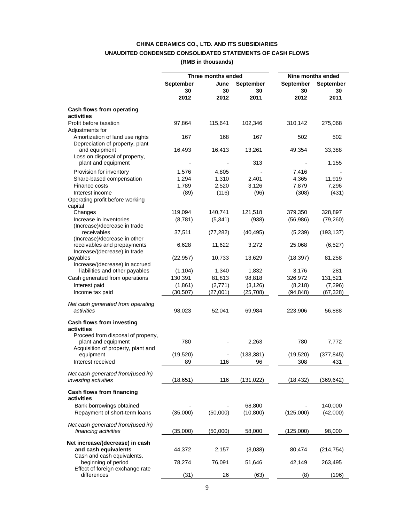## **CHINA CERAMICS CO., LTD. AND ITS SUBSIDIARIES UNAUDITED CONDENSED CONSOLIDATED STATEMENTS OF CASH FLOWS**

**(RMB in thousands)** 

|                                                                                       |                        | Three months ended |                 | Nine months ended      |                 |  |
|---------------------------------------------------------------------------------------|------------------------|--------------------|-----------------|------------------------|-----------------|--|
|                                                                                       | <b>September</b><br>30 | June<br>30         | September<br>30 | <b>September</b><br>30 | September<br>30 |  |
|                                                                                       | 2012                   | 2012               | 2011            | 2012                   | 2011            |  |
| Cash flows from operating<br>activities                                               |                        |                    |                 |                        |                 |  |
| Profit before taxation<br>Adjustments for                                             | 97,864                 | 115,641            | 102,346         | 310,142                | 275,068         |  |
| Amortization of land use rights<br>Depreciation of property, plant                    | 167                    | 168                | 167             | 502                    | 502             |  |
| and equipment<br>Loss on disposal of property,                                        | 16,493                 | 16,413             | 13,261          | 49,354                 | 33,388          |  |
| plant and equipment                                                                   |                        |                    | 313             |                        | 1,155           |  |
| Provision for inventory                                                               | 1,576                  | 4,805              |                 | 7,416                  |                 |  |
| Share-based compensation                                                              | 1,294                  | 1,310              | 2,401           | 4,365                  | 11,919          |  |
| Finance costs                                                                         | 1,789                  | 2,520              | 3,126           | 7,879                  | 7,296           |  |
| Interest income                                                                       | (89)                   | (116)              | (96)            | (308)                  | (431)           |  |
| Operating profit before working<br>capital                                            |                        |                    |                 |                        |                 |  |
| Changes                                                                               | 119,094                | 140,741            | 121,518         | 379,350                | 328,897         |  |
| Increase in inventories                                                               | (8,781)                | (5, 341)           | (938)           | (56, 986)              | (79, 260)       |  |
| (Increase)/decrease in trade                                                          |                        |                    |                 |                        |                 |  |
| receivables<br>(Increase)/decrease in other                                           | 37,511                 | (77, 282)          | (40, 495)       | (5,239)                | (193, 137)      |  |
| receivables and prepayments<br>Increase/(decrease) in trade                           | 6,628                  | 11,622             | 3,272           | 25,068                 | (6,527)         |  |
| payables                                                                              | (22, 957)              | 10,733             | 13,629          | (18, 397)              | 81,258          |  |
| Increase/(decrease) in accrued                                                        |                        |                    |                 |                        |                 |  |
| liabilities and other payables                                                        | (1, 104)               | 1,340              | 1,832           | 3,176                  | 281             |  |
| Cash generated from operations                                                        | 130,391                | 81,813             | 98,818          | 326,972                | 131,521         |  |
| Interest paid                                                                         | (1,861)                | (2,771)            | (3, 126)        | (8, 218)               | (7,296)         |  |
| Income tax paid                                                                       | (30, 507)              | (27,001)           | (25,708)        | (94, 848)              | (67, 328)       |  |
| Net cash generated from operating<br>activities                                       | 98,023                 | 52,041             | 69,984          | 223,906                | 56,888          |  |
| Cash flows from investing<br>activities                                               |                        |                    |                 |                        |                 |  |
| Proceed from disposal of property,<br>plant and equipment                             | 780                    |                    | 2,263           | 780                    | 7,772           |  |
| Acquisition of property, plant and<br>equipment                                       | (19, 520)              |                    | (133, 381)      | (19, 520)              | (377, 845)      |  |
| Interest received                                                                     | 89                     | 116                | 96              | 308                    | 431             |  |
| Net cash generated from/(used in)<br>investing activities                             | (18,651)               | 116                | (131, 022)      | (18,432)               | (369, 642)      |  |
| Cash flows from financing                                                             |                        |                    |                 |                        |                 |  |
| activities                                                                            |                        |                    |                 |                        |                 |  |
| Bank borrowings obtained                                                              |                        |                    | 68,800          |                        | 140,000         |  |
| Repayment of short-term loans                                                         | (35,000)               | (50,000)           | (10, 800)       | (125,000)              | (42,000)        |  |
| Net cash generated from/(used in)<br>financing activities                             | (35,000)               | (50,000)           | 58,000          | (125,000)              | 98,000          |  |
|                                                                                       |                        |                    |                 |                        |                 |  |
| Net increase/(decrease) in cash<br>and cash equivalents<br>Cash and cash equivalents, | 44,372                 | 2,157              | (3,038)         | 80,474                 | (214, 754)      |  |
| beginning of period<br>Effect of foreign exchange rate                                | 78,274                 | 76,091             | 51,646          | 42,149                 | 263,495         |  |
| differences                                                                           | (31)                   | 26                 | (63)            | (8)                    | (196)           |  |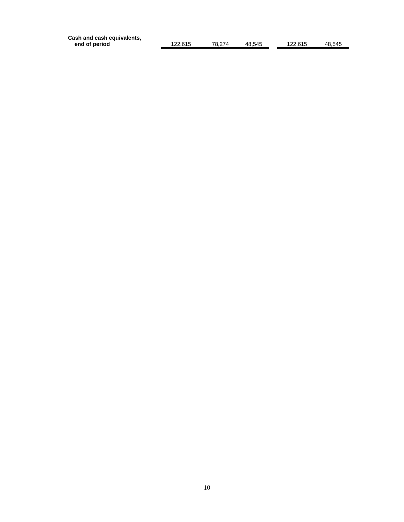| Cash and cash equivalents, |         |        |        |         |        |
|----------------------------|---------|--------|--------|---------|--------|
| end of period              | 122.615 | 78.274 | 48.545 | 122.615 | 48.545 |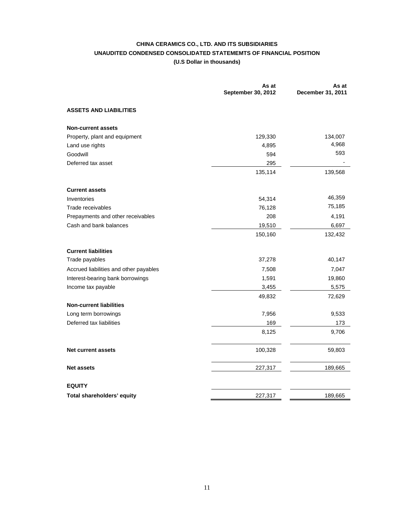## **CHINA CERAMICS CO., LTD. AND ITS SUBSIDIARIES UNAUDITED CONDENSED CONSOLIDATED STATEMEMTS OF FINANCIAL POSITION (U.S Dollar in thousands)**

|                                        | As at<br>September 30, 2012 | As at<br>December 31, 2011 |
|----------------------------------------|-----------------------------|----------------------------|
| <b>ASSETS AND LIABILITIES</b>          |                             |                            |
| <b>Non-current assets</b>              |                             |                            |
| Property, plant and equipment          | 129,330                     | 134,007                    |
| Land use rights                        | 4,895                       | 4,968                      |
| Goodwill                               | 594                         | 593                        |
| Deferred tax asset                     | 295                         |                            |
|                                        | 135,114                     | 139,568                    |
| <b>Current assets</b>                  |                             |                            |
| Inventories                            | 54,314                      | 46,359                     |
| Trade receivables                      | 76,128                      | 75,185                     |
| Prepayments and other receivables      | 208                         | 4,191                      |
| Cash and bank balances                 | 19,510                      | 6,697                      |
|                                        | 150,160                     | 132,432                    |
| <b>Current liabilities</b>             |                             |                            |
| Trade payables                         | 37,278                      | 40,147                     |
| Accrued liabilities and other payables | 7,508                       | 7,047                      |
| Interest-bearing bank borrowings       | 1,591                       | 19,860                     |
| Income tax payable                     | 3,455                       | 5,575                      |
|                                        | 49,832                      | 72,629                     |
| <b>Non-current liabilities</b>         |                             |                            |
| Long term borrowings                   | 7,956                       | 9,533                      |
| Deferred tax liabilities               | 169                         | 173                        |
|                                        | 8,125                       | 9,706                      |
| <b>Net current assets</b>              | 100,328                     | 59,803                     |
| <b>Net assets</b>                      | 227,317                     | 189,665                    |
| <b>EQUITY</b>                          |                             |                            |
| Total shareholders' equity             | 227,317                     | 189,665                    |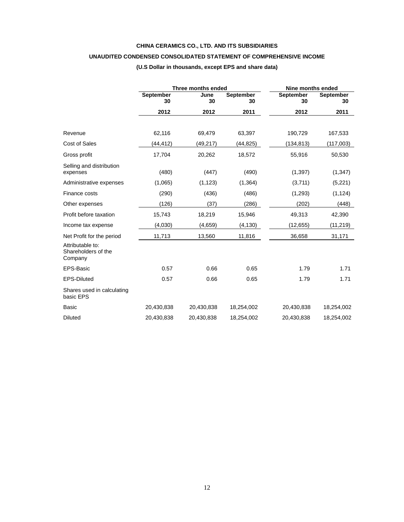## **CHINA CERAMICS CO., LTD. AND ITS SUBSIDIARIES**

## **UNAUDITED CONDENSED CONSOLIDATED STATEMENT OF COMPREHENSIVE INCOME**

|                                                    |                        | Three months ended |                        | Nine months ended |                        |  |
|----------------------------------------------------|------------------------|--------------------|------------------------|-------------------|------------------------|--|
|                                                    | <b>September</b><br>30 | June<br>30         | <b>September</b><br>30 | September<br>30   | <b>September</b><br>30 |  |
|                                                    | 2012                   | 2012               | 2011                   | 2012              | 2011                   |  |
|                                                    |                        |                    |                        |                   |                        |  |
| Revenue                                            | 62,116                 | 69,479             | 63,397                 | 190,729           | 167,533                |  |
| Cost of Sales                                      | (44,412)               | (49, 217)          | (44, 825)              | (134,813)         | (117,003)              |  |
| Gross profit                                       | 17,704                 | 20,262             | 18,572                 | 55,916            | 50,530                 |  |
| Selling and distribution<br>expenses               | (480)                  | (447)              | (490)                  | (1, 397)          | (1, 347)               |  |
| Administrative expenses                            | (1,065)                | (1, 123)           | (1, 364)               | (3,711)           | (5,221)                |  |
| Finance costs                                      | (290)                  | (436)              | (486)                  | (1,293)           | (1, 124)               |  |
| Other expenses                                     | (126)                  | (37)               | (286)                  | (202)             | (448)                  |  |
| Profit before taxation                             | 15,743                 | 18,219             | 15,946                 | 49,313            | 42,390                 |  |
| Income tax expense                                 | (4,030)                | (4,659)            | (4, 130)               | (12, 655)         | (11,219)               |  |
| Net Profit for the period                          | 11,713                 | 13,560             | 11,816                 | 36,658            | 31,171                 |  |
| Attributable to:<br>Shareholders of the<br>Company |                        |                    |                        |                   |                        |  |
| EPS-Basic                                          | 0.57                   | 0.66               | 0.65                   | 1.79              | 1.71                   |  |
| EPS-Diluted                                        | 0.57                   | 0.66               | 0.65                   | 1.79              | 1.71                   |  |
| Shares used in calculating<br>basic EPS            |                        |                    |                        |                   |                        |  |
| <b>Basic</b>                                       | 20,430,838             | 20,430,838         | 18,254,002             | 20,430,838        | 18,254,002             |  |
| <b>Diluted</b>                                     | 20,430,838             | 20,430,838         | 18,254,002             | 20,430,838        | 18,254,002             |  |

## **(U.S Dollar in thousands, except EPS and share data)**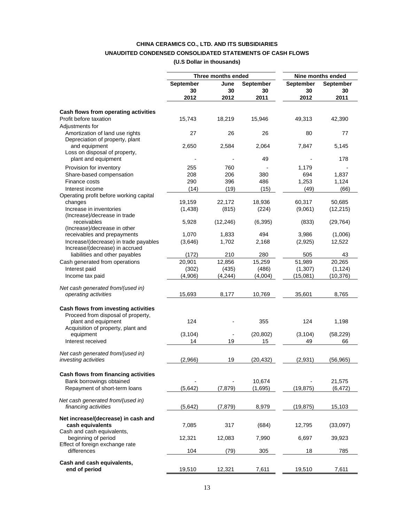## **CHINA CERAMICS CO., LTD. AND ITS SUBSIDIARIES UNAUDITED CONDENSED CONSOLIDATED STATEMENTS OF CASH FLOWS**

**(U.S Dollar in thousands)** 

|                                                                                                                                         |           | Three months ended |                  | Nine months ended |                  |  |
|-----------------------------------------------------------------------------------------------------------------------------------------|-----------|--------------------|------------------|-------------------|------------------|--|
|                                                                                                                                         | September | June               | <b>September</b> | September         | <b>September</b> |  |
|                                                                                                                                         | 30        | 30                 | 30               | 30                | 30               |  |
|                                                                                                                                         | 2012      | 2012               |                  | 2012              | 2011             |  |
|                                                                                                                                         |           |                    | 2011             |                   |                  |  |
| Cash flows from operating activities                                                                                                    |           |                    |                  |                   |                  |  |
| Profit before taxation<br>Adjustments for                                                                                               | 15,743    | 18,219             | 15,946           | 49,313            | 42,390           |  |
| Amortization of land use rights<br>Depreciation of property, plant                                                                      | 27        | 26                 | 26               | 80                | 77               |  |
| and equipment<br>Loss on disposal of property,                                                                                          | 2,650     | 2,584              | 2,064            | 7,847             | 5,145            |  |
| plant and equipment                                                                                                                     |           |                    | 49               |                   | 178              |  |
| Provision for inventory                                                                                                                 | 255       | 760                |                  | 1,179             |                  |  |
| Share-based compensation                                                                                                                | 208       | 206                | 380              | 694               | 1,837            |  |
| Finance costs                                                                                                                           | 290       | 396                | 486              | 1,253             | 1,124            |  |
|                                                                                                                                         |           |                    |                  |                   |                  |  |
| Interest income                                                                                                                         | (14)      | (19)               | (15)             | (49)              | (66)             |  |
| Operating profit before working capital<br>changes                                                                                      | 19.159    | 22,172             | 18,936           | 60,317            | 50,685           |  |
| Increase in inventories<br>(Increase)/decrease in trade                                                                                 | (1,438)   | (815)              | (224)            | (9,061)           | (12, 215)        |  |
| receivables<br>(Increase)/decrease in other                                                                                             | 5,928     | (12, 246)          | (6, 395)         | (833)             | (29, 764)        |  |
| receivables and prepayments                                                                                                             | 1,070     | 1,833              | 494              | 3,986             | (1,006)          |  |
| Increase/(decrease) in trade payables                                                                                                   | (3,646)   | 1,702              | 2,168            | (2,925)           | 12,522           |  |
| Increase/(decrease) in accrued<br>liabilities and other payables                                                                        | (172)     | 210                | 280              | 505               | 43               |  |
| Cash generated from operations                                                                                                          | 20,901    | 12,856             | 15,259           | 51,989            | 20,265           |  |
| Interest paid                                                                                                                           | (302)     | (435)              | (486)            | (1, 307)          | (1, 124)         |  |
| Income tax paid                                                                                                                         | (4,906)   | (4, 244)           | (4,004)          | (15,081)          | (10, 376)        |  |
|                                                                                                                                         |           |                    |                  |                   |                  |  |
| Net cash generated from/(used in)<br>operating activities                                                                               | 15,693    | 8,177              | 10,769           | 35,601            | 8,765            |  |
| Cash flows from investing activities<br>Proceed from disposal of property,<br>plant and equipment<br>Acquisition of property, plant and | 124       |                    | 355              | 124               | 1,198            |  |
| equipment                                                                                                                               | (3, 104)  |                    | (20, 802)        | (3, 104)          | (58, 229)        |  |
| Interest received                                                                                                                       | 14        | 19                 | 15               | 49                | 66               |  |
| Net cash generated from/(used in)                                                                                                       |           |                    |                  |                   |                  |  |
| investing activities                                                                                                                    | (2,966)   | 19                 | (20, 432)        | (2,931)           | (56, 965)        |  |
| Cash flows from financing activities                                                                                                    |           |                    |                  |                   |                  |  |
| Bank borrowings obtained                                                                                                                |           |                    | 10,674           |                   | 21,575           |  |
| Repayment of short-term loans                                                                                                           | (5,642)   | (7, 879)           | (1,695)          | (19, 875)         | (6, 472)         |  |
| Net cash generated from/(used in)<br>financing activities                                                                               | (5,642)   | (7, 879)           | 8,979            | (19, 875)         | 15,103           |  |
| Net increase/(decrease) in cash and<br>cash equivalents<br>Cash and cash equivalents,                                                   | 7,085     | 317                | (684)            | 12,795            | (33,097)         |  |
| beginning of period                                                                                                                     | 12,321    | 12,083             | 7,990            | 6,697             | 39,923           |  |
| Effect of foreign exchange rate<br>differences                                                                                          | 104       | (79)               | 305              | 18                | 785              |  |
|                                                                                                                                         |           |                    |                  |                   |                  |  |
| Cash and cash equivalents,<br>end of period                                                                                             | 19,510    | 12,321             | 7,611            | 19,510            | 7,611            |  |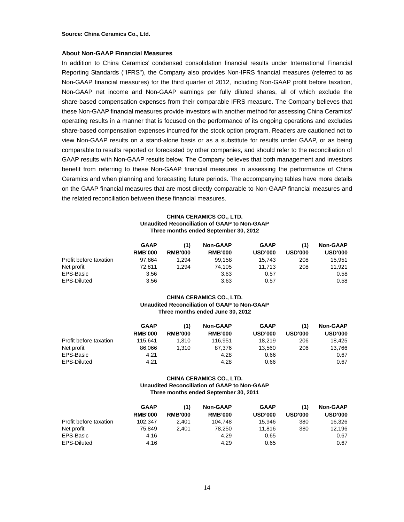**Source: China Ceramics Co., Ltd.** 

#### **About Non-GAAP Financial Measures**

In addition to China Ceramics' condensed consolidation financial results under International Financial Reporting Standards ("IFRS"), the Company also provides Non-IFRS financial measures (referred to as Non-GAAP financial measures) for the third quarter of 2012, including Non-GAAP profit before taxation, Non-GAAP net income and Non-GAAP earnings per fully diluted shares, all of which exclude the share-based compensation expenses from their comparable IFRS measure. The Company believes that these Non-GAAP financial measures provide investors with another method for assessing China Ceramics' operating results in a manner that is focused on the performance of its ongoing operations and excludes share-based compensation expenses incurred for the stock option program. Readers are cautioned not to view Non-GAAP results on a stand-alone basis or as a substitute for results under GAAP, or as being comparable to results reported or forecasted by other companies, and should refer to the reconciliation of GAAP results with Non-GAAP results below. The Company believes that both management and investors benefit from referring to these Non-GAAP financial measures in assessing the performance of China Ceramics and when planning and forecasting future periods. The accompanying tables have more details on the GAAP financial measures that are most directly comparable to Non-GAAP financial measures and the related reconciliation between these financial measures.

#### **CHINA CERAMICS CO., LTD. Unaudited Reconciliation of GAAP to Non-GAAP Three months ended September 30, 2012**

|                        | <b>GAAP</b>    | (1)            | <b>Non-GAAP</b> | <b>GAAP</b>    | (1)            | <b>Non-GAAP</b> |
|------------------------|----------------|----------------|-----------------|----------------|----------------|-----------------|
|                        | <b>RMB'000</b> | <b>RMB'000</b> | <b>RMB'000</b>  | <b>USD'000</b> | <b>USD'000</b> | <b>USD'000</b>  |
| Profit before taxation | 97.864         | 294. ا         | 99.158          | 15.743         | 208            | 15.951          |
| Net profit             | 72.811         | 294. ا         | 74.105          | 11.713         | 208            | 11.921          |
| EPS-Basic              | 3.56           |                | 3.63            | 0.57           |                | 0.58            |
| EPS-Diluted            | 3.56           |                | 3.63            | 0.57           |                | 0.58            |

#### **CHINA CERAMICS CO., LTD. Unaudited Reconciliation of GAAP to Non-GAAP Three months ended June 30, 2012**

|                        | <b>GAAP</b>    |                | <b>Non-GAAP</b> | <b>GAAP</b>    | (1)            | <b>Non-GAAP</b> |
|------------------------|----------------|----------------|-----------------|----------------|----------------|-----------------|
|                        | <b>RMB'000</b> | <b>RMB'000</b> | <b>RMB'000</b>  | <b>USD'000</b> | <b>USD'000</b> | <b>USD'000</b>  |
| Profit before taxation | 115.641        | 1.310          | 116.951         | 18.219         | 206            | 18.425          |
| Net profit             | 86.066         | 1.310          | 87.376          | 13.560         | 206            | 13.766          |
| EPS-Basic              | 4.21           |                | 4.28            | 0.66           |                | 0.67            |
| EPS-Diluted            | 4.21           |                | 4.28            | 0.66           |                | 0.67            |

#### **CHINA CERAMICS CO., LTD. Unaudited Reconciliation of GAAP to Non-GAAP Three months ended September 30, 2011**

|                        | <b>GAAP</b>    | (1)            | <b>Non-GAAP</b> | <b>GAAP</b>    | (1)            | <b>Non-GAAP</b> |
|------------------------|----------------|----------------|-----------------|----------------|----------------|-----------------|
|                        | <b>RMB'000</b> | <b>RMB'000</b> | <b>RMB'000</b>  | <b>USD'000</b> | <b>USD'000</b> | <b>USD'000</b>  |
| Profit before taxation | 102.347        | 2.401          | 104.748         | 15.946         | 380            | 16.326          |
| Net profit             | 75.849         | 2.401          | 78.250          | 11.816         | 380            | 12.196          |
| EPS-Basic              | 4.16           |                | 4.29            | 0.65           |                | 0.67            |
| <b>EPS-Diluted</b>     | 4.16           |                | 4.29            | 0.65           |                | 0.67            |